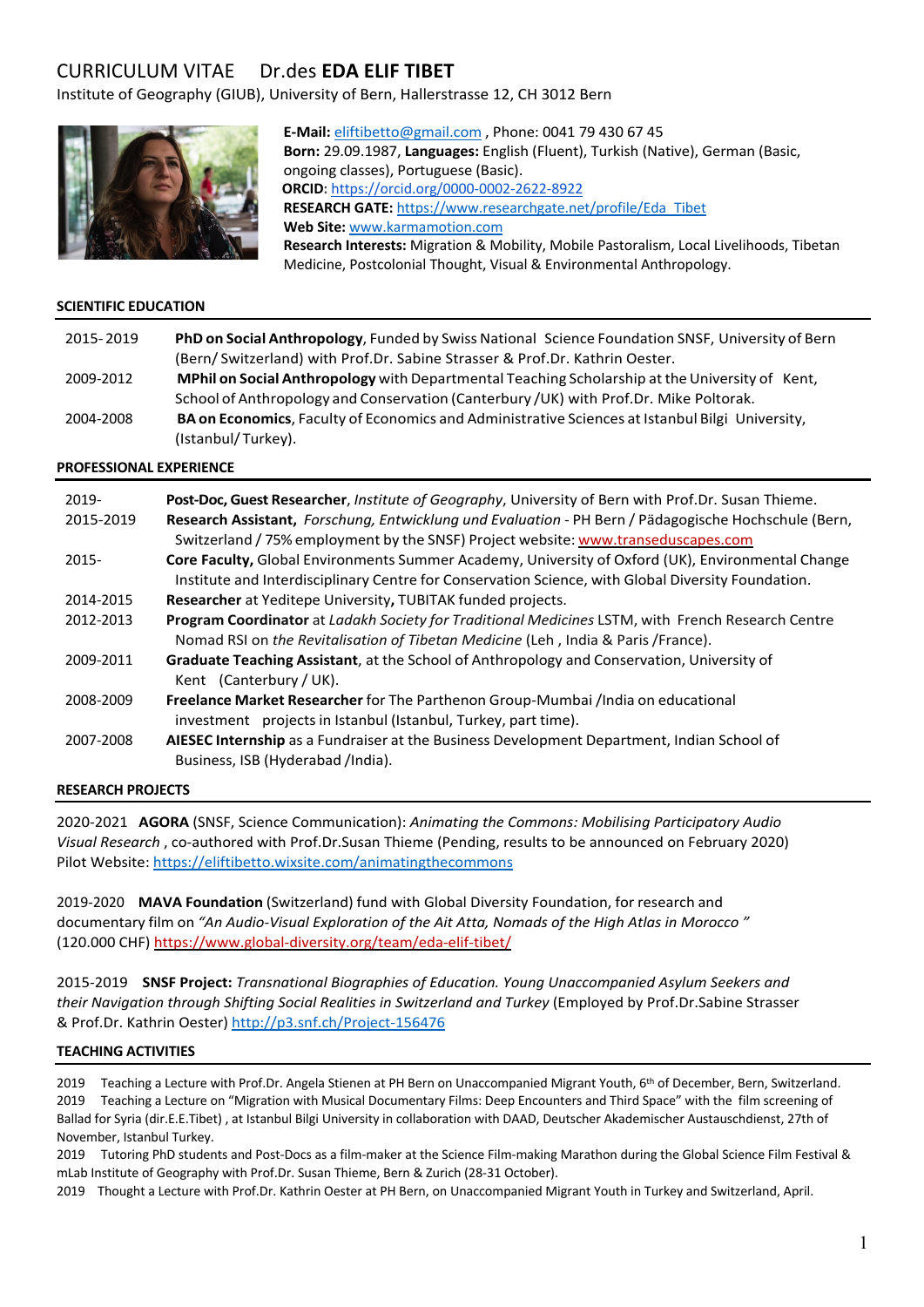# CURRICULUM VITAEDr.des **EDA ELIF TIBET**

Institute of Geography (GIUB), University of Bern, Hallerstrasse 12, CH 3012 Bern



**E-Mail:** eliftibetto@gmail.com , Phone: 0041 79 430 67 45 **Born:** 29.09.1987, **Languages:** English (Fluent), Turkish (Native), German (Basic, ongoing classes), Portuguese (Basic). **ORCID:** https://orcid.org/0000-0002-2622-8922 **RESEARCH GATE:** https://www.researchgate.net/profile/Eda\_Tibet **Web Site:** www.karmamotion.com **Research Interests:** Migration & Mobility, Mobile Pastoralism, Local Livelihoods, Tibetan Medicine, Postcolonial Thought, Visual & Environmental Anthropology.

## **SCIENTIFIC EDUCATION**

| 2015-2019 | PhD on Social Anthropology, Funded by Swiss National Science Foundation SNSF, University of Bern |
|-----------|--------------------------------------------------------------------------------------------------|
|           | (Bern/Switzerland) with Prof.Dr. Sabine Strasser & Prof.Dr. Kathrin Oester.                      |
| 2009-2012 | MPhil on Social Anthropology with Departmental Teaching Scholarship at the University of Kent,   |
|           | School of Anthropology and Conservation (Canterbury /UK) with Prof.Dr. Mike Poltorak.            |
| 2004-2008 | BA on Economics, Faculty of Economics and Administrative Sciences at Istanbul Bilgi University,  |
|           | (Istanbul/Turkey).                                                                               |

### **PROFESSIONAL EXPERIENCE**

| $2019 -$<br>2015-2019 | Post-Doc, Guest Researcher, Institute of Geography, University of Bern with Prof.Dr. Susan Thieme.<br>Research Assistant, Forschung, Entwicklung und Evaluation - PH Bern / Pädagogische Hochschule (Bern,<br>Switzerland / 75% employment by the SNSF) Project website: www.transeduscapes.com |
|-----------------------|-------------------------------------------------------------------------------------------------------------------------------------------------------------------------------------------------------------------------------------------------------------------------------------------------|
| $2015 -$              | Core Faculty, Global Environments Summer Academy, University of Oxford (UK), Environmental Change<br>Institute and Interdisciplinary Centre for Conservation Science, with Global Diversity Foundation.                                                                                         |
| 2014-2015             | Researcher at Yeditepe University, TUBITAK funded projects.                                                                                                                                                                                                                                     |
| 2012-2013             | Program Coordinator at Ladakh Society for Traditional Medicines LSTM, with French Research Centre<br>Nomad RSI on the Revitalisation of Tibetan Medicine (Leh, India & Paris /France).                                                                                                          |
| 2009-2011             | <b>Graduate Teaching Assistant, at the School of Anthropology and Conservation, University of</b><br>Kent (Canterbury / UK).                                                                                                                                                                    |
| 2008-2009             | Freelance Market Researcher for The Parthenon Group-Mumbai /India on educational<br>investment projects in Istanbul (Istanbul, Turkey, part time).                                                                                                                                              |
| 2007-2008             | AIESEC Internship as a Fundraiser at the Business Development Department, Indian School of<br>Business, ISB (Hyderabad /India).                                                                                                                                                                 |

### **RESEARCH PROJECTS**

2020-2021 **AGORA** (SNSF, Science Communication): *Animating the Commons: Mobilising Participatory Audio Visual Research* , co-authored with Prof.Dr.Susan Thieme (Pending, results to be announced on February 2020) Pilot Website: https://eliftibetto.wixsite.com/animatingthecommons

2019-2020 **MAVA Foundation** (Switzerland) fund with Global Diversity Foundation, for research and documentary film on *"An Audio-Visual Exploration of the Ait Atta, Nomads of the High Atlas in Morocco "* (120.000 CHF) https://www.global-diversity.org/team/eda-elif-tibet/

2015-2019 **SNSF Project:** *Transnational Biographies of Education. Young Unaccompanied Asylum Seekers and their Navigation through Shifting Social Realities in Switzerland and Turkey* (Employed by Prof.Dr.Sabine Strasser & Prof.Dr. Kathrin Oester) http://p3.snf.ch/Project-156476

### **TEACHING ACTIVITIES**

2019 Teaching a Lecture with Prof.Dr. Angela Stienen at PH Bern on Unaccompanied Migrant Youth, 6th of December, Bern, Switzerland. 2019 Teaching a Lecture on "Migration with Musical Documentary Films: Deep Encounters and Third Space" with the film screening of Ballad for Syria (dir.E.E.Tibet) , at Istanbul Bilgi University in collaboration with DAAD, Deutscher Akademischer Austauschdienst, 27th of November, Istanbul Turkey.

2019 Tutoring PhD students and Post-Docs as a film-maker at the Science Film-making Marathon during the Global Science Film Festival & mLab Institute of Geography with Prof.Dr. Susan Thieme, Bern & Zurich (28-31 October).

2019 Thought a Lecture with Prof.Dr. Kathrin Oester at PH Bern, on Unaccompanied Migrant Youth in Turkey and Switzerland, April.